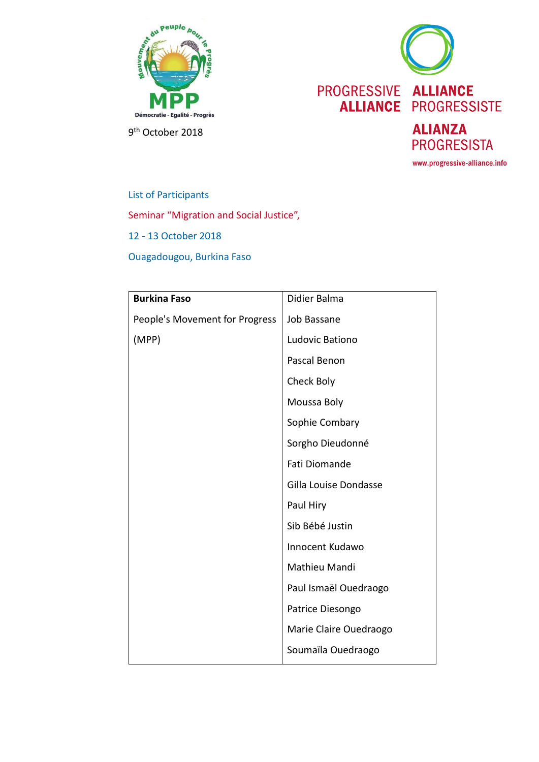



9<sup>th</sup> October 2018

List of Participants Seminar "Migration and Social Justice", 12 - 13 October 2018 Ouagadougou, Burkina Faso

| <b>Burkina Faso</b>            | Didier Balma           |
|--------------------------------|------------------------|
| People's Movement for Progress | Job Bassane            |
| (MPP)                          | Ludovic Bationo        |
|                                | Pascal Benon           |
|                                | Check Boly             |
|                                | Moussa Boly            |
|                                | Sophie Combary         |
|                                | Sorgho Dieudonné       |
|                                | Fati Diomande          |
|                                | Gilla Louise Dondasse  |
|                                | Paul Hiry              |
|                                | Sib Bébé Justin        |
|                                | Innocent Kudawo        |
|                                | Mathieu Mandi          |
|                                | Paul Ismaël Ouedraogo  |
|                                | Patrice Diesongo       |
|                                | Marie Claire Ouedraogo |
|                                | Soumaïla Ouedraogo     |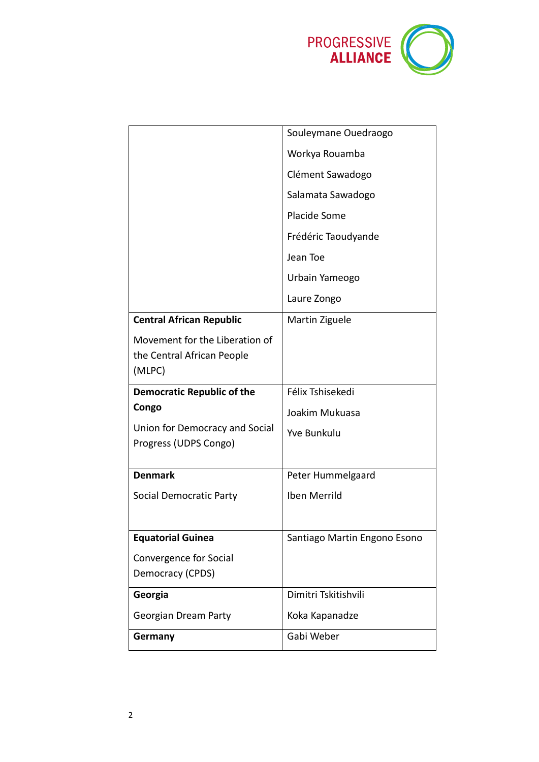

|                                                              | Souleymane Ouedraogo         |
|--------------------------------------------------------------|------------------------------|
|                                                              | Workya Rouamba               |
|                                                              | Clément Sawadogo             |
|                                                              | Salamata Sawadogo            |
|                                                              | Placide Some                 |
|                                                              | Frédéric Taoudyande          |
|                                                              | Jean Toe                     |
|                                                              | Urbain Yameogo               |
|                                                              | Laure Zongo                  |
| <b>Central African Republic</b>                              | Martin Ziguele               |
| Movement for the Liberation of<br>the Central African People |                              |
| (MLPC)                                                       |                              |
|                                                              |                              |
| <b>Democratic Republic of the</b>                            | Félix Tshisekedi             |
| Congo                                                        | Joakim Mukuasa               |
| Union for Democracy and Social<br>Progress (UDPS Congo)      | <b>Yve Bunkulu</b>           |
|                                                              |                              |
| <b>Denmark</b>                                               | Peter Hummelgaard            |
| Social Democratic Party                                      | Iben Merrild                 |
|                                                              |                              |
| <b>Equatorial Guinea</b>                                     | Santiago Martin Engono Esono |
| Convergence for Social                                       |                              |
| Democracy (CPDS)                                             |                              |
| Georgia                                                      | Dimitri Tskitishvili         |
| Georgian Dream Party                                         | Koka Kapanadze               |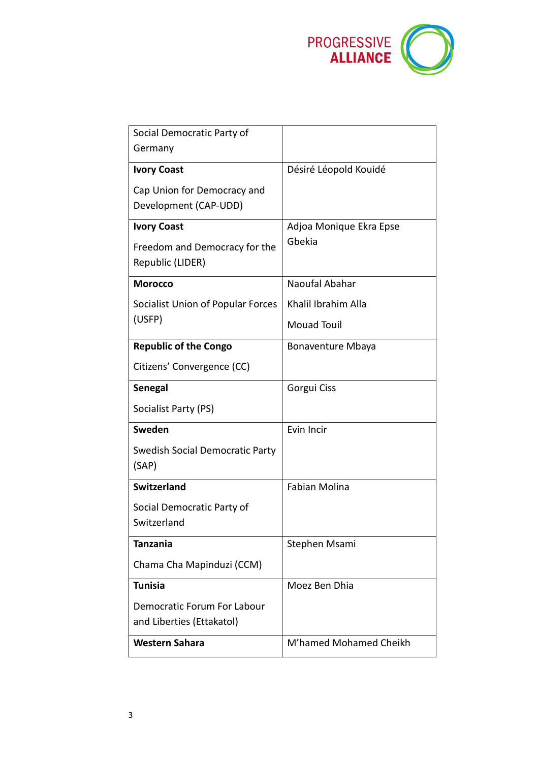

| Social Democratic Party of             |                          |
|----------------------------------------|--------------------------|
| Germany                                |                          |
| <b>Ivory Coast</b>                     | Désiré Léopold Kouidé    |
| Cap Union for Democracy and            |                          |
| Development (CAP-UDD)                  |                          |
| <b>Ivory Coast</b>                     | Adjoa Monique Ekra Epse  |
| Freedom and Democracy for the          | Gbekia                   |
| Republic (LIDER)                       |                          |
| <b>Morocco</b>                         | Naoufal Abahar           |
| Socialist Union of Popular Forces      | Khalil Ibrahim Alla      |
| (USFP)                                 | <b>Mouad Touil</b>       |
| <b>Republic of the Congo</b>           | <b>Bonaventure Mbaya</b> |
| Citizens' Convergence (CC)             |                          |
| <b>Senegal</b>                         | Gorgui Ciss              |
| Socialist Party (PS)                   |                          |
| Sweden                                 | Evin Incir               |
| <b>Swedish Social Democratic Party</b> |                          |
| (SAP)                                  |                          |
| <b>Switzerland</b>                     | <b>Fabian Molina</b>     |
| Social Democratic Party of             |                          |
| Switzerland                            |                          |
| <b>Tanzania</b>                        | Stephen Msami            |
| Chama Cha Mapinduzi (CCM)              |                          |
| <b>Tunisia</b>                         | Moez Ben Dhia            |
| Democratic Forum For Labour            |                          |
| and Liberties (Ettakatol)              |                          |
| <b>Western Sahara</b>                  | M'hamed Mohamed Cheikh   |